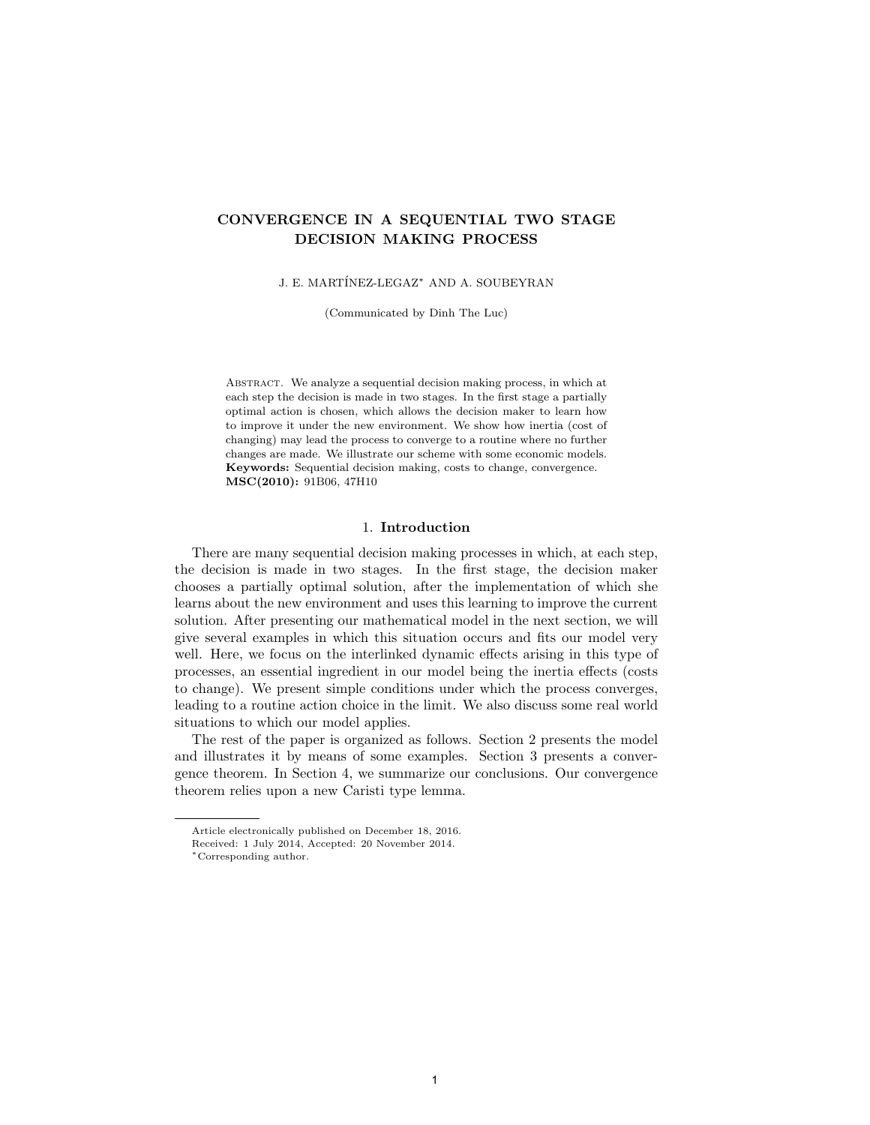# CONVERGENCE IN A SEQUENTIAL TWO STAGE DECISION MAKING PROCESS

J. E. MART´INEZ-LEGAZ<sup>∗</sup> AND A. SOUBEYRAN

(Communicated by Dinh The Luc)

Abstract. We analyze a sequential decision making process, in which at each step the decision is made in two stages. In the first stage a partially optimal action is chosen, which allows the decision maker to learn how to improve it under the new environment. We show how inertia (cost of changing) may lead the process to converge to a routine where no further changes are made. We illustrate our scheme with some economic models. Keywords: Sequential decision making, costs to change, convergence. MSC(2010): 91B06, 47H10

# 1. Introduction

There are many sequential decision making processes in which, at each step, the decision is made in two stages. In the first stage, the decision maker chooses a partially optimal solution, after the implementation of which she learns about the new environment and uses this learning to improve the current solution. After presenting our mathematical model in the next section, we will give several examples in which this situation occurs and fits our model very well. Here, we focus on the interlinked dynamic effects arising in this type of processes, an essential ingredient in our model being the inertia effects (costs to change). We present simple conditions under which the process converges, leading to a routine action choice in the limit. We also discuss some real world situations to which our model applies.

The rest of the paper is organized as follows. Section 2 presents the model and illustrates it by means of some examples. Section 3 presents a convergence theorem. In Section 4, we summarize our conclusions. Our convergence theorem relies upon a new Caristi type lemma.

Article electronically published on December 18, 2016.

Received: 1 July 2014, Accepted: 20 November 2014.

<sup>∗</sup>Corresponding author.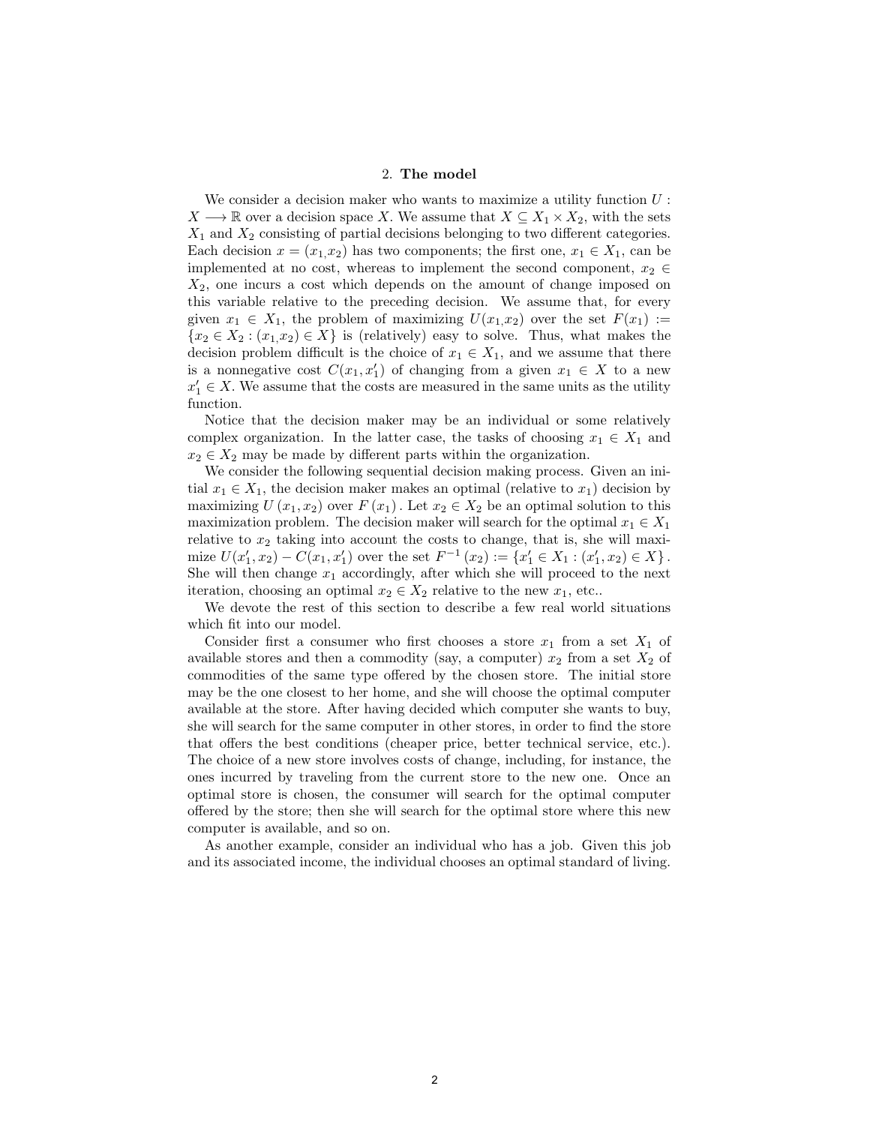## 2. The model

We consider a decision maker who wants to maximize a utility function  $U$ :  $X \longrightarrow \mathbb{R}$  over a decision space X. We assume that  $X \subseteq X_1 \times X_2$ , with the sets  $X_1$  and  $X_2$  consisting of partial decisions belonging to two different categories. Each decision  $x = (x_1, x_2)$  has two components; the first one,  $x_1 \in X_1$ , can be implemented at no cost, whereas to implement the second component,  $x_2 \in$  $X_2$ , one incurs a cost which depends on the amount of change imposed on this variable relative to the preceding decision. We assume that, for every given  $x_1 \in X_1$ , the problem of maximizing  $U(x_1,x_2)$  over the set  $F(x_1) :=$  ${x_2 \in X_2 : (x_1, x_2) \in X}$  is (relatively) easy to solve. Thus, what makes the decision problem difficult is the choice of  $x_1 \in X_1$ , and we assume that there is a nonnegative cost  $C(x_1, x_1')$  of changing from a given  $x_1 \in X$  to a new  $x_1' \in X$ . We assume that the costs are measured in the same units as the utility function.

Notice that the decision maker may be an individual or some relatively complex organization. In the latter case, the tasks of choosing  $x_1 \in X_1$  and  $x_2 \in X_2$  may be made by different parts within the organization.

We consider the following sequential decision making process. Given an initial  $x_1 \in X_1$ , the decision maker makes an optimal (relative to  $x_1$ ) decision by maximizing  $U(x_1, x_2)$  over  $F(x_1)$ . Let  $x_2 \in X_2$  be an optimal solution to this maximization problem. The decision maker will search for the optimal  $x_1 \in X_1$ relative to  $x_2$  taking into account the costs to change, that is, she will maximize  $U(x'_1, x_2) - C(x_1, x'_1)$  over the set  $F^{-1}(x_2) := \{x'_1 \in X_1 : (x'_1, x_2) \in X\}$ . She will then change  $x_1$  accordingly, after which she will proceed to the next iteration, choosing an optimal  $x_2 \in X_2$  relative to the new  $x_1$ , etc..

We devote the rest of this section to describe a few real world situations which fit into our model.

Consider first a consumer who first chooses a store  $x_1$  from a set  $X_1$  of available stores and then a commodity (say, a computer)  $x_2$  from a set  $X_2$  of commodities of the same type offered by the chosen store. The initial store may be the one closest to her home, and she will choose the optimal computer available at the store. After having decided which computer she wants to buy, she will search for the same computer in other stores, in order to find the store that offers the best conditions (cheaper price, better technical service, etc.). The choice of a new store involves costs of change, including, for instance, the ones incurred by traveling from the current store to the new one. Once an optimal store is chosen, the consumer will search for the optimal computer offered by the store; then she will search for the optimal store where this new computer is available, and so on.

As another example, consider an individual who has a job. Given this job and its associated income, the individual chooses an optimal standard of living.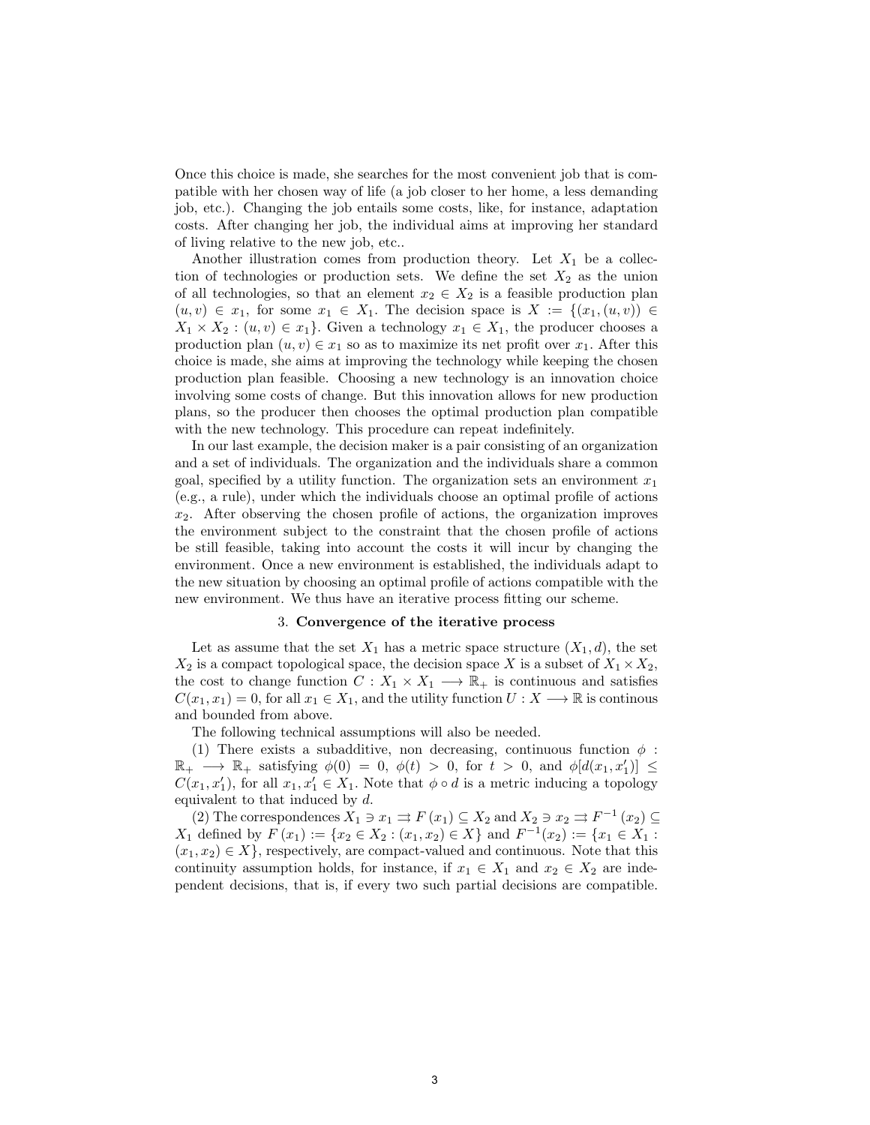Once this choice is made, she searches for the most convenient job that is compatible with her chosen way of life (a job closer to her home, a less demanding job, etc.). Changing the job entails some costs, like, for instance, adaptation costs. After changing her job, the individual aims at improving her standard of living relative to the new job, etc..

Another illustration comes from production theory. Let  $X_1$  be a collection of technologies or production sets. We define the set  $X_2$  as the union of all technologies, so that an element  $x_2 \in X_2$  is a feasible production plan  $(u, v) \in x_1$ , for some  $x_1 \in X_1$ . The decision space is  $X := \{(x_1, (u, v)) \in$  $X_1 \times X_2 : (u, v) \in x_1$ . Given a technology  $x_1 \in X_1$ , the producer chooses a production plan  $(u, v) \in x_1$  so as to maximize its net profit over  $x_1$ . After this choice is made, she aims at improving the technology while keeping the chosen production plan feasible. Choosing a new technology is an innovation choice involving some costs of change. But this innovation allows for new production plans, so the producer then chooses the optimal production plan compatible with the new technology. This procedure can repeat indefinitely.

In our last example, the decision maker is a pair consisting of an organization and a set of individuals. The organization and the individuals share a common goal, specified by a utility function. The organization sets an environment  $x_1$ (e.g., a rule), under which the individuals choose an optimal profile of actions  $x_2$ . After observing the chosen profile of actions, the organization improves the environment subject to the constraint that the chosen profile of actions be still feasible, taking into account the costs it will incur by changing the environment. Once a new environment is established, the individuals adapt to the new situation by choosing an optimal profile of actions compatible with the new environment. We thus have an iterative process fitting our scheme.

#### 3. Convergence of the iterative process

Let as assume that the set  $X_1$  has a metric space structure  $(X_1, d)$ , the set  $X_2$  is a compact topological space, the decision space X is a subset of  $X_1 \times X_2$ , the cost to change function  $C: X_1 \times X_1 \longrightarrow \mathbb{R}_+$  is continuous and satisfies  $C(x_1, x_1) = 0$ , for all  $x_1 \in X_1$ , and the utility function  $U: X \longrightarrow \mathbb{R}$  is continous and bounded from above.

The following technical assumptions will also be needed.

(1) There exists a subadditive, non decreasing, continuous function  $\phi$ :  $\mathbb{R}_+ \longrightarrow \mathbb{R}_+$  satisfying  $\phi(0) = 0, \ \phi(t) > 0$ , for  $t > 0$ , and  $\phi[d(x_1, x_1')] \le$  $C(x_1, x_1')$ , for all  $x_1, x_1' \in X_1$ . Note that  $\phi \circ d$  is a metric inducing a topology equivalent to that induced by d.

(2) The correspondences  $X_1 \ni x_1 \rightrightarrows F(x_1) \subseteq X_2$  and  $X_2 \ni x_2 \rightrightarrows F^{-1}(x_2) \subseteq$  $X_1$  defined by  $F(x_1) := \{x_2 \in X_2 : (x_1, x_2) \in X\}$  and  $F^{-1}(x_2) := \{x_1 \in X_1 :$  $(x_1, x_2) \in X$ , respectively, are compact-valued and continuous. Note that this continuity assumption holds, for instance, if  $x_1 \in X_1$  and  $x_2 \in X_2$  are independent decisions, that is, if every two such partial decisions are compatible.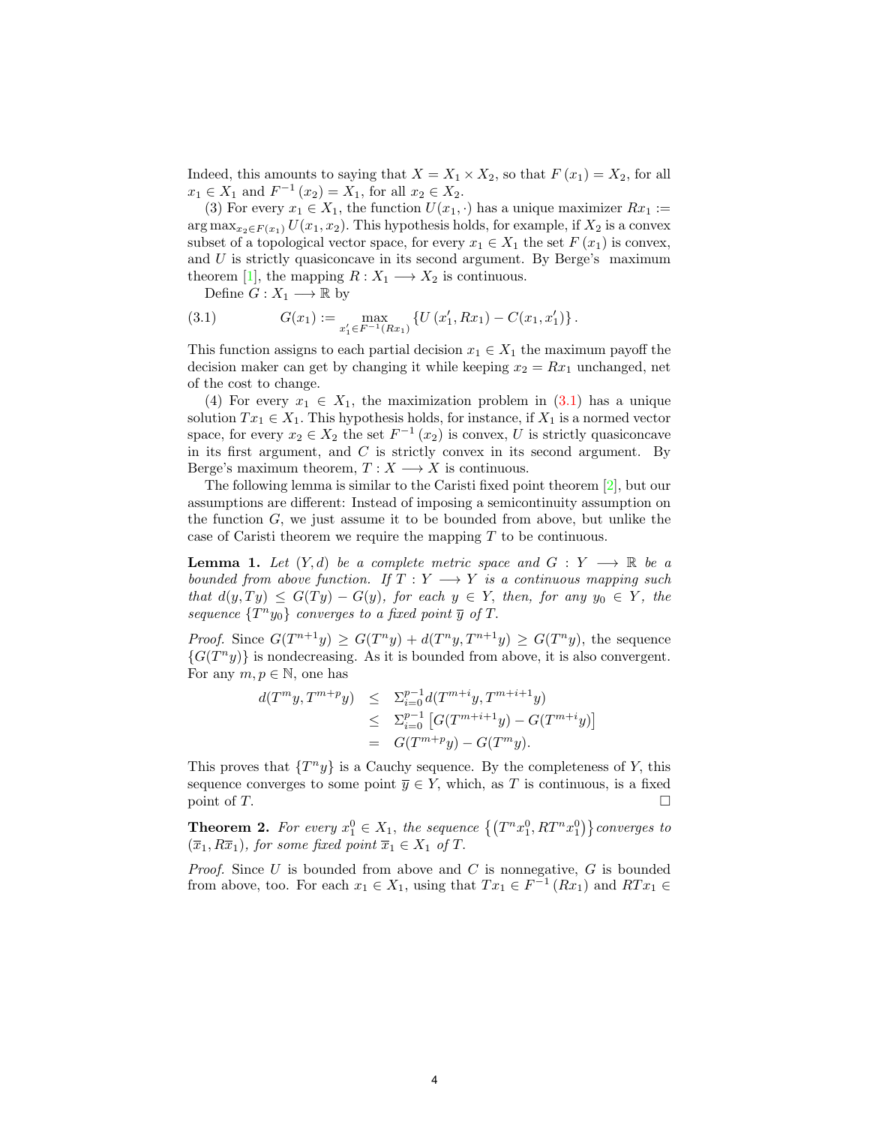Indeed, this amounts to saying that  $X = X_1 \times X_2$ , so that  $F(x_1) = X_2$ , for all  $x_1 \in X_1$  and  $F^{-1}(x_2) = X_1$ , for all  $x_2 \in X_2$ .

(3) For every  $x_1 \in X_1$ , the function  $U(x_1, \cdot)$  has a unique maximizer  $Rx_1 :=$  $\arg \max_{x_2 \in F(x_1)} U(x_1, x_2)$ . This hypothesis holds, for example, if  $X_2$  is a convex subset of a topological vector space, for every  $x_1 \in X_1$  the set  $F(x_1)$  is convex, and  $U$  is strictly quasiconcave in its second argument. By Berge's maximum theorem [\[1\]](#page-4-0), the mapping  $R: X_1 \longrightarrow X_2$  is continuous.

<span id="page-3-0"></span>Define  $G: X_1 \longrightarrow \mathbb{R}$  by

(3.1) 
$$
G(x_1) := \max_{x'_1 \in F^{-1}(Rx_1)} \{U(x'_1, Rx_1) - C(x_1, x'_1)\}.
$$

This function assigns to each partial decision  $x_1 \in X_1$  the maximum payoff the decision maker can get by changing it while keeping  $x_2 = Rx_1$  unchanged, net of the cost to change.

(4) For every  $x_1 \in X_1$ , the maximization problem in [\(3.1\)](#page-3-0) has a unique solution  $Tx_1 \in X_1$ . This hypothesis holds, for instance, if  $X_1$  is a normed vector space, for every  $x_2 \in X_2$  the set  $F^{-1}(x_2)$  is convex, U is strictly quasiconcave in its first argument, and  $C$  is strictly convex in its second argument. By Berge's maximum theorem,  $T: X \longrightarrow X$  is continuous.

The following lemma is similar to the Caristi fixed point theorem [\[2\]](#page-4-1), but our assumptions are different: Instead of imposing a semicontinuity assumption on the function  $G$ , we just assume it to be bounded from above, but unlike the case of Caristi theorem we require the mapping T to be continuous.

<span id="page-3-1"></span>**Lemma 1.** Let  $(Y, d)$  be a complete metric space and  $G: Y \longrightarrow \mathbb{R}$  be a bounded from above function. If  $T : Y \longrightarrow Y$  is a continuous mapping such that  $d(y,Ty) \leq G(Ty) - G(y)$ , for each  $y \in Y$ , then, for any  $y_0 \in Y$ , the sequence  $\{T^n y_0\}$  converges to a fixed point  $\overline{y}$  of T.

*Proof.* Since  $G(T^{n+1}y) \geq G(T^n y) + d(T^n y, T^{n+1}y) \geq G(T^n y)$ , the sequence  ${G(T^ny)}$  is nondecreasing. As it is bounded from above, it is also convergent. For any  $m, p \in \mathbb{N}$ , one has

$$
d(T^{m}y, T^{m+p}y) \leq \sum_{i=0}^{p-1} d(T^{m+i}y, T^{m+i+1}y)
$$
  
 
$$
\leq \sum_{i=0}^{p-1} [G(T^{m+i+1}y) - G(T^{m+i}y)]
$$
  
 
$$
= G(T^{m+p}y) - G(T^{m}y).
$$

This proves that  $\{T^n y\}$  is a Cauchy sequence. By the completeness of Y, this sequence converges to some point  $\overline{y} \in Y$ , which, as T is continuous, is a fixed point of  $T$ .

**Theorem 2.** For every  $x_1^0 \in X_1$ , the sequence  $\left\{ (T^n x_1^0, RT^n x_1^0) \right\}$  converges to  $(\overline{x}_1, R\overline{x}_1)$ , for some fixed point  $\overline{x}_1 \in X_1$  of T.

*Proof.* Since U is bounded from above and C is nonnegative,  $G$  is bounded from above, too. For each  $x_1 \in X_1$ , using that  $Tx_1 \in F^{-1}(Rx_1)$  and  $RTx_1 \in$